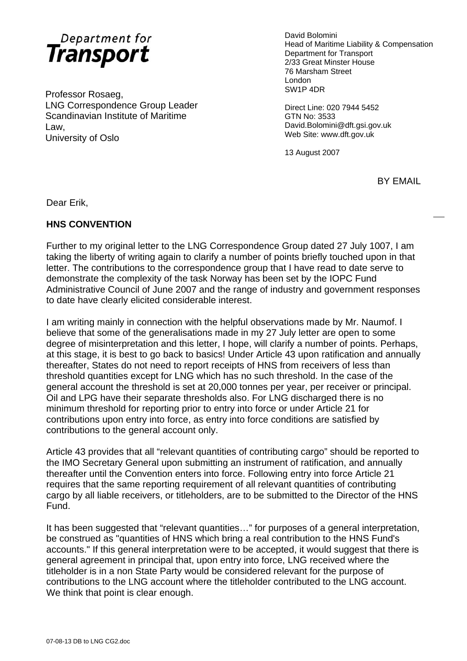

Professor Rosaeg, SW1P 4DR LNG Correspondence Group Leader Direct Line: 020 7944 5452 Scandinavian Institute of Maritime GTN No: 3533 Law, David.Bolomini@dft.gsi.gov.uk University of Oslo Web Site: www.dft.gov.uk

David Bolomini Head of Maritime Liability & Compensation Department for Transport 2/33 Great Minster House 76 Marsham Street London

13 August 2007

BY EMAIL

Dear Erik,

## **HNS CONVENTION**

Further to my original letter to the LNG Correspondence Group dated 27 July 1007, I am taking the liberty of writing again to clarify a number of points briefly touched upon in that letter. The contributions to the correspondence group that I have read to date serve to demonstrate the complexity of the task Norway has been set by the IOPC Fund Administrative Council of June 2007 and the range of industry and government responses to date have clearly elicited considerable interest.

I am writing mainly in connection with the helpful observations made by Mr. Naumof. I believe that some of the generalisations made in my 27 July letter are open to some degree of misinterpretation and this letter, I hope, will clarify a number of points. Perhaps, at this stage, it is best to go back to basics! Under Article 43 upon ratification and annually thereafter, States do not need to report receipts of HNS from receivers of less than threshold quantities except for LNG which has no such threshold. In the case of the general account the threshold is set at 20,000 tonnes per year, per receiver or principal. Oil and LPG have their separate thresholds also. For LNG discharged there is no minimum threshold for reporting prior to entry into force or under Article 21 for contributions upon entry into force, as entry into force conditions are satisfied by contributions to the general account only.

Article 43 provides that all "relevant quantities of contributing cargo" should be reported to the IMO Secretary General upon submitting an instrument of ratification, and annually thereafter until the Convention enters into force. Following entry into force Article 21 requires that the same reporting requirement of all relevant quantities of contributing cargo by all liable receivers, or titleholders, are to be submitted to the Director of the HNS Fund.

It has been suggested that "relevant quantities…" for purposes of a general interpretation, be construed as "quantities of HNS which bring a real contribution to the HNS Fund's accounts." If this general interpretation were to be accepted, it would suggest that there is general agreement in principal that, upon entry into force, LNG received where the titleholder is in a non State Party would be considered relevant for the purpose of contributions to the LNG account where the titleholder contributed to the LNG account. We think that point is clear enough.